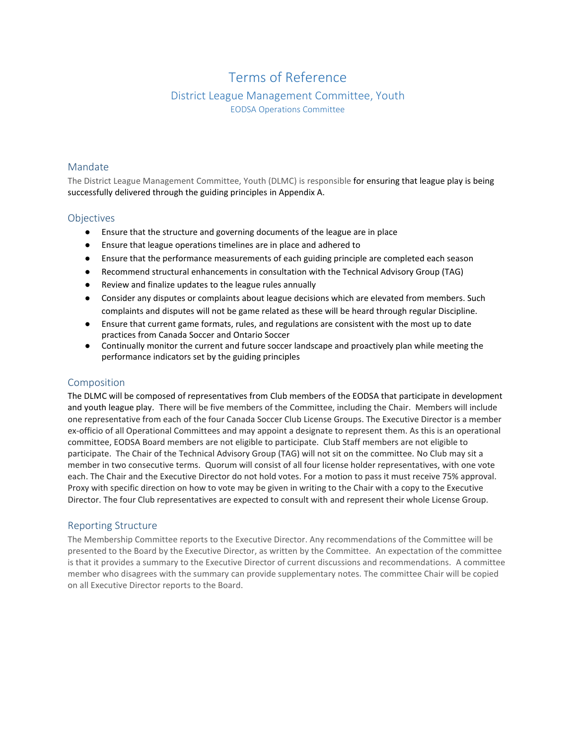# Terms of Reference

# District League Management Committee, Youth EODSA Operations Committee

#### Mandate

The District League Management Committee, Youth (DLMC) is responsible for ensuring that league play is being successfully delivered through the guiding principles in Appendix A.

#### **Objectives**

- Ensure that the structure and governing documents of the league are in place
- Ensure that league operations timelines are in place and adhered to
- Ensure that the performance measurements of each guiding principle are completed each season
- Recommend structural enhancements in consultation with the Technical Advisory Group (TAG)
- Review and finalize updates to the league rules annually
- Consider any disputes or complaints about league decisions which are elevated from members. Such complaints and disputes will not be game related as these will be heard through regular Discipline.
- Ensure that current game formats, rules, and regulations are consistent with the most up to date practices from Canada Soccer and Ontario Soccer
- Continually monitor the current and future soccer landscape and proactively plan while meeting the performance indicators set by the guiding principles

# Composition

The DLMC will be composed of representatives from Club members of the EODSA that participate in development and youth league play. There will be five members of the Committee, including the Chair. Members will include one representative from each of the four Canada Soccer Club License Groups. The Executive Director is a member ex-officio of all Operational Committees and may appoint a designate to represent them. As this is an operational committee, EODSA Board members are not eligible to participate. Club Staff members are not eligible to participate. The Chair of the Technical Advisory Group (TAG) will not sit on the committee. No Club may sit a member in two consecutive terms. Quorum will consist of all four license holder representatives, with one vote each. The Chair and the Executive Director do not hold votes. For a motion to pass it must receive 75% approval. Proxy with specific direction on how to vote may be given in writing to the Chair with a copy to the Executive Director. The four Club representatives are expected to consult with and represent their whole License Group.

# Reporting Structure

The Membership Committee reports to the Executive Director. Any recommendations of the Committee will be presented to the Board by the Executive Director, as written by the Committee. An expectation of the committee is that it provides a summary to the Executive Director of current discussions and recommendations. A committee member who disagrees with the summary can provide supplementary notes. The committee Chair will be copied on all Executive Director reports to the Board.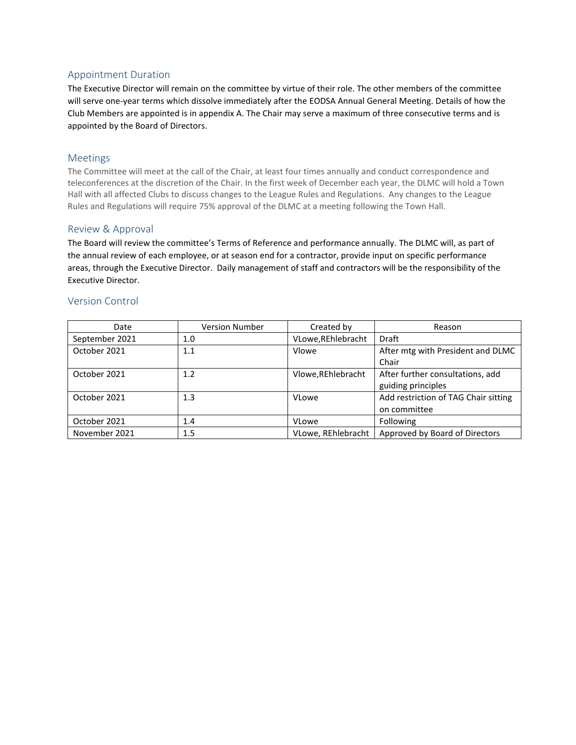# Appointment Duration

The Executive Director will remain on the committee by virtue of their role. The other members of the committee will serve one-year terms which dissolve immediately after the EODSA Annual General Meeting. Details of how the Club Members are appointed is in appendix A. The Chair may serve a maximum of three consecutive terms and is appointed by the Board of Directors.

# Meetings

The Committee will meet at the call of the Chair, at least four times annually and conduct correspondence and teleconferences at the discretion of the Chair. In the first week of December each year, the DLMC will hold a Town Hall with all affected Clubs to discuss changes to the League Rules and Regulations. Any changes to the League Rules and Regulations will require 75% approval of the DLMC at a meeting following the Town Hall.

### Review & Approval

The Board will review the committee's Terms of Reference and performance annually. The DLMC will, as part of the annual review of each employee, or at season end for a contractor, provide input on specific performance areas, through the Executive Director. Daily management of staff and contractors will be the responsibility of the Executive Director.

#### Version Control

| Date           | Version Number | Created by         | Reason                               |
|----------------|----------------|--------------------|--------------------------------------|
| September 2021 | 1.0            | VLowe, REhlebracht | <b>Draft</b>                         |
| October 2021   | 1.1            | Vlowe              | After mtg with President and DLMC    |
|                |                |                    | Chair                                |
| October 2021   | 1.2            | Vlowe, REhlebracht | After further consultations, add     |
|                |                |                    | guiding principles                   |
| October 2021   | 1.3            | <b>VLowe</b>       | Add restriction of TAG Chair sitting |
|                |                |                    | on committee                         |
| October 2021   | 1.4            | <b>VLowe</b>       | Following                            |
| November 2021  | $1.5\,$        | VLowe, REhlebracht | Approved by Board of Directors       |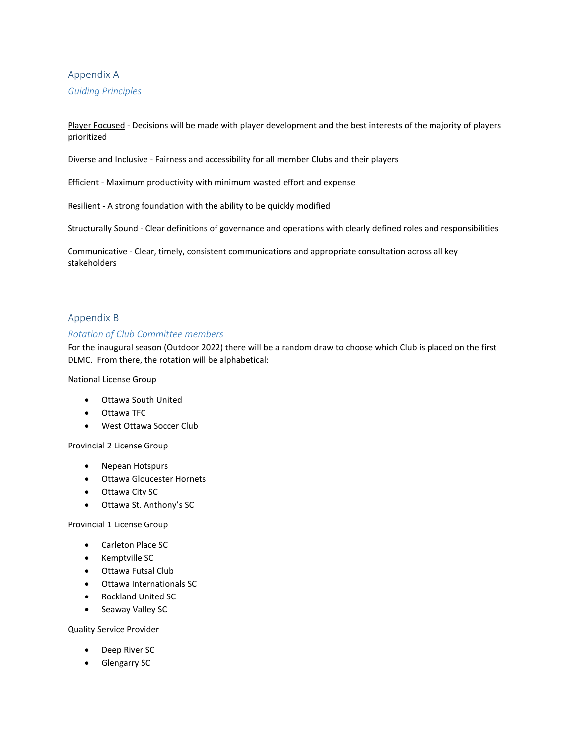# Appendix A

*Guiding Principles*

Player Focused - Decisions will be made with player development and the best interests of the majority of players prioritized

Diverse and Inclusive - Fairness and accessibility for all member Clubs and their players

Efficient - Maximum productivity with minimum wasted effort and expense

Resilient - A strong foundation with the ability to be quickly modified

Structurally Sound - Clear definitions of governance and operations with clearly defined roles and responsibilities

Communicative - Clear, timely, consistent communications and appropriate consultation across all key stakeholders

### Appendix B

#### *Rotation of Club Committee members*

For the inaugural season (Outdoor 2022) there will be a random draw to choose which Club is placed on the first DLMC. From there, the rotation will be alphabetical:

National License Group

- Ottawa South United
- Ottawa TFC
- West Ottawa Soccer Club

Provincial 2 License Group

- Nepean Hotspurs
- Ottawa Gloucester Hornets
- Ottawa City SC
- Ottawa St. Anthony's SC

Provincial 1 License Group

- Carleton Place SC
- Kemptville SC
- Ottawa Futsal Club
- Ottawa Internationals SC
- Rockland United SC
- Seaway Valley SC

Quality Service Provider

- Deep River SC
- Glengarry SC